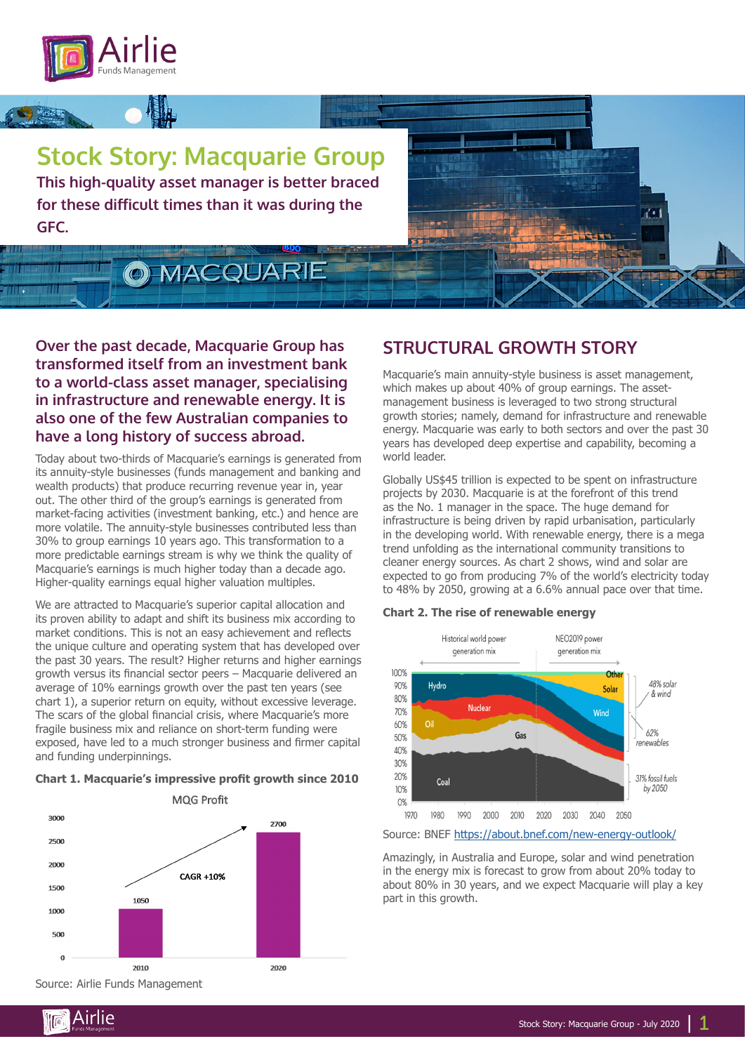

# **Stock Story: Macquarie Group This high-quality asset manager is better braced for these difficult times than it was during the GFC.**

**O MACQUARIE** 

**Over the past decade, Macquarie Group has transformed itself from an investment bank to a world-class asset manager, specialising in infrastructure and renewable energy. It is also one of the few Australian companies to have a long history of success abroad.**

Today about two-thirds of Macquarie's earnings is generated from its annuity-style businesses (funds management and banking and wealth products) that produce recurring revenue year in, year out. The other third of the group's earnings is generated from market-facing activities (investment banking, etc.) and hence are more volatile. The annuity-style businesses contributed less than 30% to group earnings 10 years ago. This transformation to a more predictable earnings stream is why we think the quality of Macquarie's earnings is much higher today than a decade ago. Higher-quality earnings equal higher valuation multiples.

We are attracted to Macquarie's superior capital allocation and its proven ability to adapt and shift its business mix according to market conditions. This is not an easy achievement and reflects the unique culture and operating system that has developed over the past 30 years. The result? Higher returns and higher earnings growth versus its financial sector peers – Macquarie delivered an average of 10% earnings growth over the past ten years (see chart 1), a superior return on equity, without excessive leverage. The scars of the global financial crisis, where Macquarie's more fragile business mix and reliance on short-term funding were exposed, have led to a much stronger business and firmer capital and funding underpinnings.

#### **Chart 1. Macquarie's impressive profit growth since 2010**



Source: Airlie Funds Management

## **STRUCTURAL GROWTH STORY**

Macquarie's main annuity-style business is asset management, which makes up about 40% of group earnings. The assetmanagement business is leveraged to two strong structural growth stories; namely, demand for infrastructure and renewable energy. Macquarie was early to both sectors and over the past 30 years has developed deep expertise and capability, becoming a world leader.

Globally US\$45 trillion is expected to be spent on infrastructure projects by 2030. Macquarie is at the forefront of this trend as the No. 1 manager in the space. The huge demand for infrastructure is being driven by rapid urbanisation, particularly in the developing world. With renewable energy, there is a mega trend unfolding as the international community transitions to cleaner energy sources. As chart 2 shows, wind and solar are expected to go from producing 7% of the world's electricity today to 48% by 2050, growing at a 6.6% annual pace over that time.

### **Chart 2. The rise of renewable energy**



Source: BNEF [https://about.bnef.com/new-energy-outlook/](https://about.bnef.com/new-energy-outlook/ )

Amazingly, in Australia and Europe, solar and wind penetration in the energy mix is forecast to grow from about 20% today to about 80% in 30 years, and we expect Macquarie will play a key part in this growth.